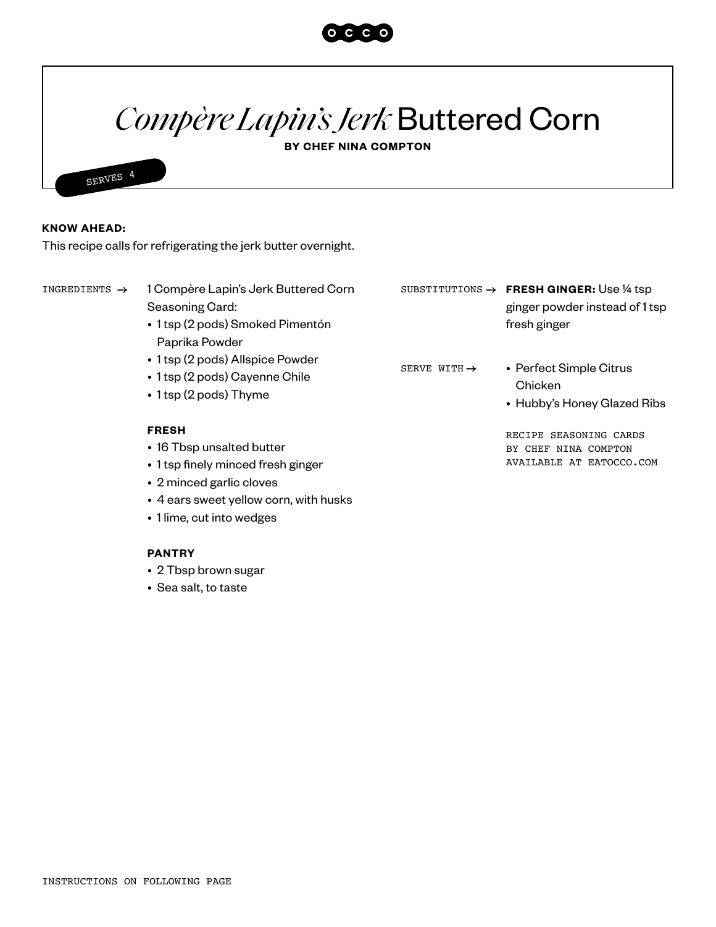

# *Compère Lapin'sJerk* Buttered Corn

**BY CHEF NINA COMPTON**



### **KNOW AHEAD:**

This recipe calls for refrigerating the jerk butter overnight.

1 Compère Lapin's Jerk Buttered Corn Seasoning Card: INGREDIENTS → 1 Compère Lapin's Jerk Buttered Corn SUBSTITUTIONS → FRESH GINGER: Use ¼ tsp

- 1 tsp (2 pods) Smoked Pimentón Paprika Powder
- 1 tsp (2 pods) Allspice Powder
- 1 tsp (2 pods) Cayenne Chile
- 1 tsp (2 pods) Thyme

### **FRESH**

- 16 Tbsp unsalted butter
- 1 tsp finely minced fresh ginger
- 2 minced garlic cloves
- 4 ears sweet yellow corn, with husks
- 1 lime, cut into wedges

### **PANTRY**

- 2 Tbsp brown sugar
- Sea salt, to taste
- ginger powder instead of 1 tsp fresh ginger
- SERVE WITH  $\rightarrow$
- Perfect Simple Citrus Chicken
- Hubby's Honey Glazed Ribs

RECIPE SEASONING CARDS BY CHEF NINA COMPTON AVAILABLE AT EATOCCO.COM